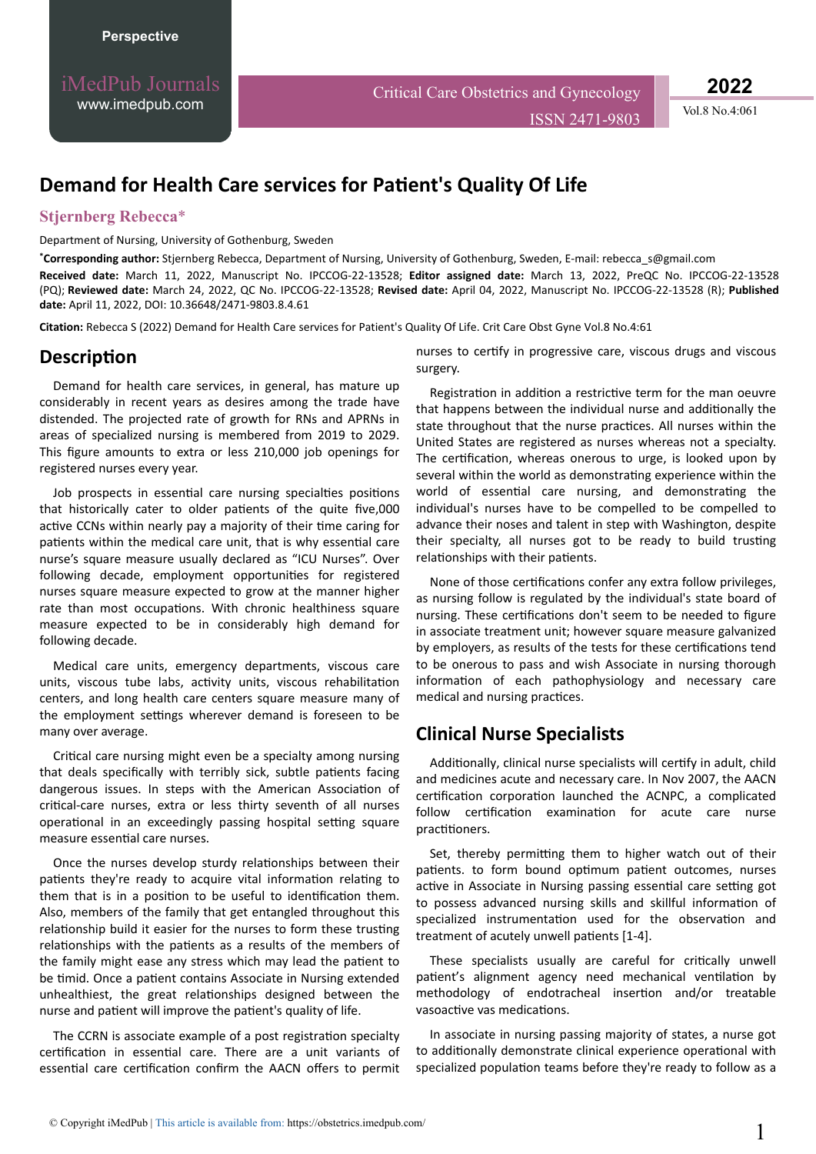iMedPub Journals [www.imedpub.com](http://www.imedpub.com/)

Critical Care Obstetrics and Gynecology

ISSN 2471-9803 Vol.8 No.4:061

**2022**

# **Demand for Health Care services for Patient's Quality Of Life**

#### **Stjernberg Rebecca**\*

Department of Nursing, University of Gothenburg, Sweden

**\*Corresponding author:** Stjernberg Rebecca, Department of Nursing, University of Gothenburg, Sweden, E-mail: [rebecca\\_s@gmail.com](mailto:rebecca_s@gmail.com) **Received date:** March 11, 2022, Manuscript No. IPCCOG-22-13528; **Editor assigned date:** March 13, 2022, PreQC No. IPCCOG-22-13528 (PQ); **Reviewed date:** March 24, 2022, QC No. IPCCOG-22-13528; **Revised date:** April 04, 2022, Manuscript No. IPCCOG-22-13528 (R); **Published date:** April 11, 2022, DOI: 10.36648/2471-9803.8.4.61

**Citation:** Rebecca S (2022) Demand for Health Care services for Patient's Quality Of Life. Crit Care Obst Gyne Vol.8 No.4:61

## **Description**

Demand for health care services, in general, has mature up considerably in recent years as desires among the trade have distended. The projected rate of growth for RNs and APRNs in areas of specialized nursing is membered from 2019 to 2029. This figure amounts to extra or less 210,000 job openings for registered nurses every year.

Job prospects in essential care nursing specialties positions that historically cater to older patients of the quite five,000 active CCNs within nearly pay a majority of their time caring for patients within the medical care unit, that is why essential care nurse's square measure usually declared as "ICU Nurses". Over following decade, employment opportunities for registered nurses square measure expected to grow at the manner higher rate than most occupations. With chronic healthiness square measure expected to be in considerably high demand for following decade.

Medical care units, emergency departments, viscous care units, viscous tube labs, activity units, viscous rehabilitation centers, and long health care centers square measure many of the employment settings wherever demand is foreseen to be many over average.

Critical care nursing might even be a specialty among nursing that deals specifically with terribly sick, subtle patients facing dangerous issues. In steps with the American Association of critical-care nurses, extra or less thirty seventh of all nurses operational in an exceedingly passing hospital setting square measure essential care nurses.

Once the nurses develop sturdy relationships between their patients they're ready to acquire vital information relating to them that is in a position to be useful to identification them. Also, members of the family that get entangled throughout this relationship build it easier for the nurses to form these trusting relationships with the patients as a results of the members of the family might ease any stress which may lead the patient to be timid. Once a patient contains Associate in Nursing extended unhealthiest, the great relationships designed between the nurse and patient will improve the patient's quality of life.

The CCRN is associate example of a post registration specialty certification in essential care. There are a unit variants of essential care certification confirm the AACN offers to permit nurses to certify in progressive care, viscous drugs and viscous surgery.

Registration in addition a restrictive term for the man oeuvre that happens between the individual nurse and additionally the state throughout that the nurse practices. All nurses within the United States are registered as nurses whereas not a specialty. The certification, whereas onerous to urge, is looked upon by several within the world as demonstrating experience within the world of essential care nursing, and demonstrating the individual's nurses have to be compelled to be compelled to advance their noses and talent in step with Washington, despite their specialty, all nurses got to be ready to build trusting relationships with their patients.

None of those certifications confer any extra follow privileges, as nursing follow is regulated by the individual's state board of nursing. These certifications don't seem to be needed to figure in associate treatment unit; however square measure galvanized by employers, as results of the tests for these certifications tend to be onerous to pass and wish Associate in nursing thorough information of each pathophysiology and necessary care medical and nursing practices.

## **Clinical Nurse Specialists**

Additionally, clinical nurse specialists will certify in adult, child and medicines acute and necessary care. In Nov 2007, the AACN certification corporation launched the ACNPC, a complicated follow certification examination for acute care nurse practitioners.

Set, thereby permitting them to higher watch out of their patients. to form bound optimum patient outcomes, nurses active in Associate in Nursing passing essential care setting got to possess advanced nursing skills and skillful information of specialized instrumentation used for the observation and treatment of acutely unwell patients [1-4].

These specialists usually are careful for critically unwell patient's alignment agency need mechanical ventilation by methodology of endotracheal insertion and/or treatable vasoactive vas medications.

In associate in nursing passing majority of states, a nurse got to additionally demonstrate clinical experience operational with specialized population teams before they're ready to follow as a